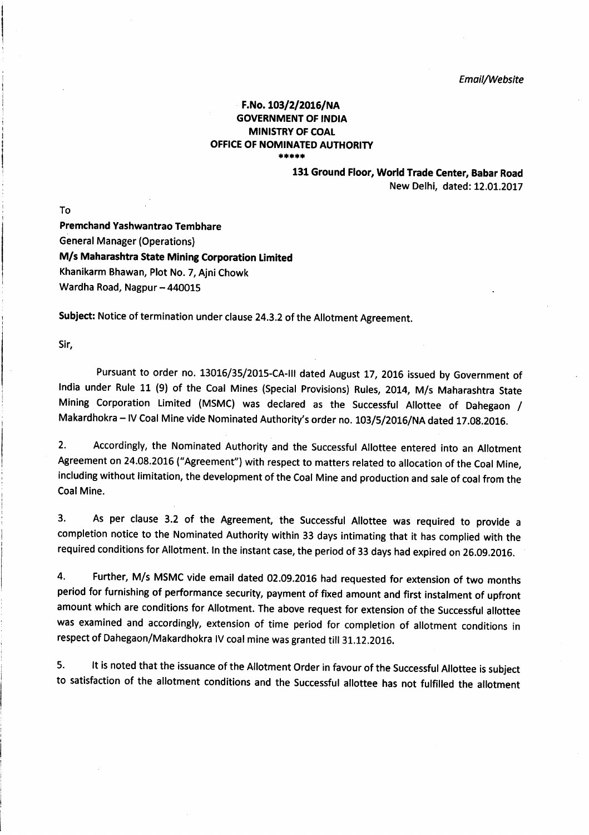## F.No. 103/2/2016/NA GOVERNMENT OF INDIA MINISTRY OF COAI OFFICE OF NOMINATED AUTHORITY \*\*\*\*\*

131Ground Floor, World Trade Center, Babar Road New Delhi, dated: 12.01.2017

To

Premchand Yashwantrao Tembhare General Manager (Operations) M/s Maharashtra State Mining Corporation Limited Khanikarm Bhawan, Plot No. 7, Ajni Chowk Wardha Road, Nagpur - 440015

Subject: Notice of termination under clause 24.3.2 of the Allotment Agreement.

Sir,

Pursuant to order no. 13016/35/2015-CA-III dated August 17, 2016 issued by Government of India under Rule 11 (9) of the Coal Mines (Special Provisions) Rules, 2014, M/s Maharashtra State Mining Corporation Limited (MSMC) was declared as the Successful Allottee of Dahegaon / Makardhokra - IV Coal Mine vide Nominated Authority's order no. 103/5/2016/NA dated 17.08.2016.

2. Accordingly, the Nominated Authority and the Successful Allottee entered into an Allotment Agreement on 24.08.2016 ("Agreement") with respect to matters related to allocation of the Coal Mine, including without limitation, the development of the Coal Mine and production and sale of coal from the Coal Mine.

3. As per clause 3.2 of the Agreement, the Successful Allottee was required to provide <sup>a</sup> completion notice to the Nominated Authority within 33 days intimating that it has complied with the required conditions for Allotment. ln the instant case, the period of 33 days had expired on 26.09.201G.

4. Further, M/s MSMC vide email dated 02.09.2015 had requested for extension of two months period for furnishing of performance security, payment of fixed amount and first instalment of upfront amount which are conditions for Allotment. The above request for extension of the Successful allottee was examined and accordingly, extension of time period for completion of allotment conditions in respect of Dahegaon/Makardhokra IV coal mine was granted till 31.12.2016.

5. lt is noted that the issuance of the Allotment order in favour of the successful Allottee is subject to satisfaction of the allotment conditions and the Successful allottee has not fulfilled the allotment